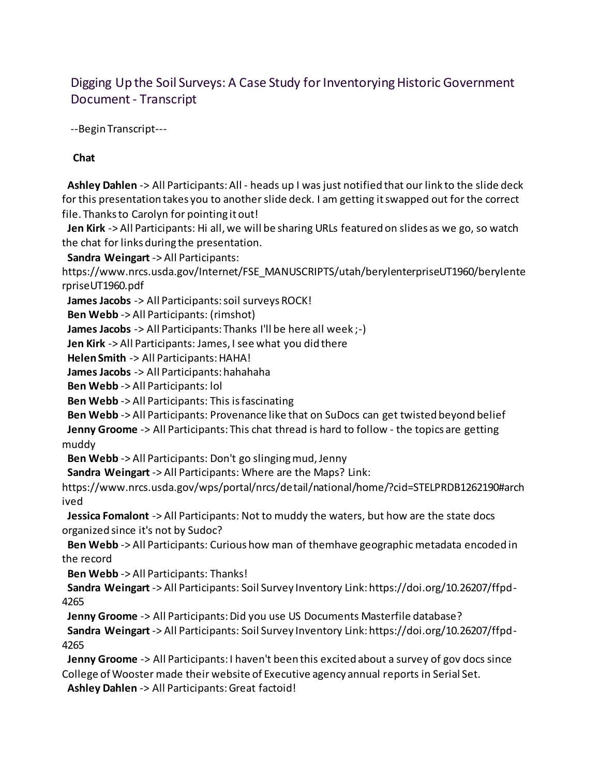## Digging Up the Soil Surveys: A Case Study for Inventorying Historic Government Document - Transcript

--Begin Transcript---

## **Chat**

 **Ashley Dahlen** -> All Participants: All - heads up I was just notified that our link to the slide deck for this presentation takes you to another slide deck. I am getting it swapped out for the correct file. Thanks to Carolyn for pointing it out!

 **Jen Kirk** -> All Participants: Hi all, we will be sharing URLs featured on slides as we go, so watch the chat for links during the presentation.

**Sandra Weingart** -> All Participants:

https://www.nrcs.usda.gov/Internet/FSE\_MANUSCRIPTS/utah/berylenterpriseUT1960/berylente rpriseUT1960.pdf

**James Jacobs** -> All Participants: soil surveys ROCK!

**Ben Webb** -> All Participants: (rimshot)

**James Jacobs** -> All Participants: Thanks I'll be here all week ;-)

**Jen Kirk** -> All Participants: James, I see what you did there

**Helen Smith** -> All Participants: HAHA!

**James Jacobs** -> All Participants: hahahaha

**Ben Webb** -> All Participants: lol

**Ben Webb** -> All Participants: This is fascinating

 **Ben Webb** -> All Participants: Provenance like that on SuDocs can get twisted beyond belief **Jenny Groome** -> All Participants: This chat thread is hard to follow - the topics are getting muddy

**Ben Webb** -> All Participants: Don't go slinging mud, Jenny

**Sandra Weingart** -> All Participants: Where are the Maps? Link:

https://www.nrcs.usda.gov/wps/portal/nrcs/detail/national/home/?cid=STELPRDB1262190#arch ived

 **Jessica Fomalont** -> All Participants: Not to muddy the waters, but how are the state docs organized since it's not by Sudoc?

 **Ben Webb** -> All Participants: Curious how man of themhave geographic metadata encoded in the record

**Ben Webb** -> All Participants: Thanks!

 **Sandra Weingart** -> All Participants: Soil Survey Inventory Link: https://doi.org/10.26207/ffpd-4265

**Jenny Groome** -> All Participants: Did you use US Documents Masterfile database?

 **Sandra Weingart** -> All Participants: Soil Survey Inventory Link: https://doi.org/10.26207/ffpd-4265

 **Jenny Groome** -> All Participants: I haven't been this excited about a survey of gov docs since College of Wooster made their website of Executive agency annual reports in Serial Set.

**Ashley Dahlen** -> All Participants: Great factoid!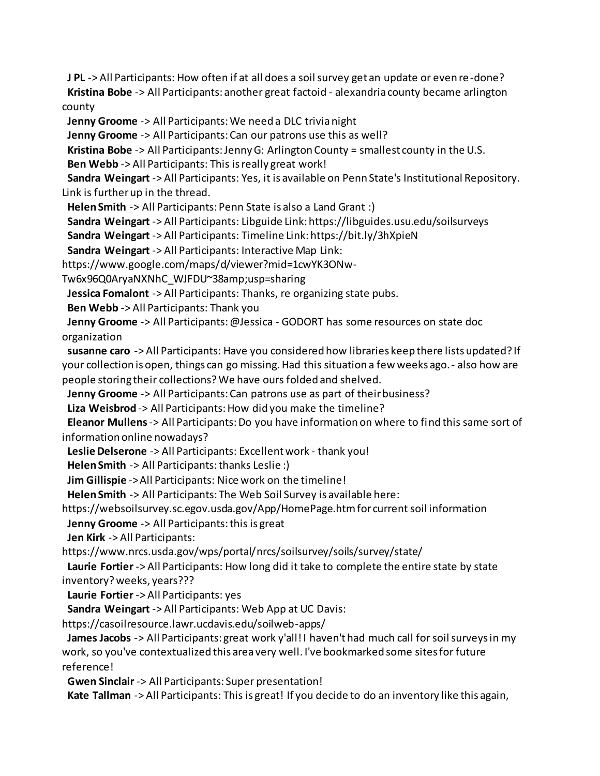**J PL** -> All Participants: How often if at all does a soil survey get an update or even re-done? **Kristina Bobe** -> All Participants: another great factoid - alexandria county became arlington

county

**Jenny Groome** -> All Participants: We need a DLC trivia night

**Jenny Groome** -> All Participants: Can our patrons use this as well?

**Kristina Bobe** -> All Participants: Jenny G: Arlington County = smallest county in the U.S.

**Ben Webb** -> All Participants: This is really great work!

 **Sandra Weingart** -> All Participants: Yes, it is available on Penn State's Institutional Repository. Link is further up in the thread.

**Helen Smith** -> All Participants: Penn State is also a Land Grant :)

**Sandra Weingart** -> All Participants: Libguide Link: https://libguides.usu.edu/soilsurveys

**Sandra Weingart** -> All Participants: Timeline Link: https://bit.ly/3hXpieN

**Sandra Weingart** -> All Participants: Interactive Map Link:

https://www.google.com/maps/d/viewer?mid=1cwYK3ONw-

Tw6x96Q0AryaNXNhC\_WJFDU~38amp;usp=sharing

**Jessica Fomalont** -> All Participants: Thanks, re organizing state pubs.

**Ben Webb** -> All Participants: Thank you

 **Jenny Groome** -> All Participants: @Jessica - GODORT has some resources on state doc organization

 **susanne caro** -> All Participants: Have you considered how libraries keep there lists updated? If your collection is open, things can go missing. Had this situation a few weeks ago.- also how are people storing their collections? We have ours folded and shelved.

**Jenny Groome** -> All Participants: Can patrons use as part of their business?

**Liza Weisbrod** -> All Participants: How did you make the timeline?

 **Eleanor Mullens**-> All Participants: Do you have information on where to find this same sort of information online nowadays?

**Leslie Delserone** -> All Participants: Excellent work - thank you!

**Helen Smith** -> All Participants: thanks Leslie :)

**Jim Gillispie** -> All Participants: Nice work on the timeline!

**Helen Smith** -> All Participants: The Web Soil Survey is available here:

https://websoilsurvey.sc.egov.usda.gov/App/HomePage.htm for current soil information

**Jenny Groome** -> All Participants: this is great

**Jen Kirk** -> All Participants:

https://www.nrcs.usda.gov/wps/portal/nrcs/soilsurvey/soils/survey/state/

 **Laurie Fortier** -> All Participants: How long did it take to complete the entire state by state inventory? weeks, years???

**Laurie Fortier** -> All Participants: yes

**Sandra Weingart** -> All Participants: Web App at UC Davis:

https://casoilresource.lawr.ucdavis.edu/soilweb-apps/

James Jacobs -> All Participants: great work y'all! I haven't had much call for soil surveys in my work, so you've contextualized this area very well. I've bookmarked some sites for future reference!

**Gwen Sinclair** -> All Participants: Super presentation!

Kate Tallman -> All Participants: This is great! If you decide to do an inventory like this again,